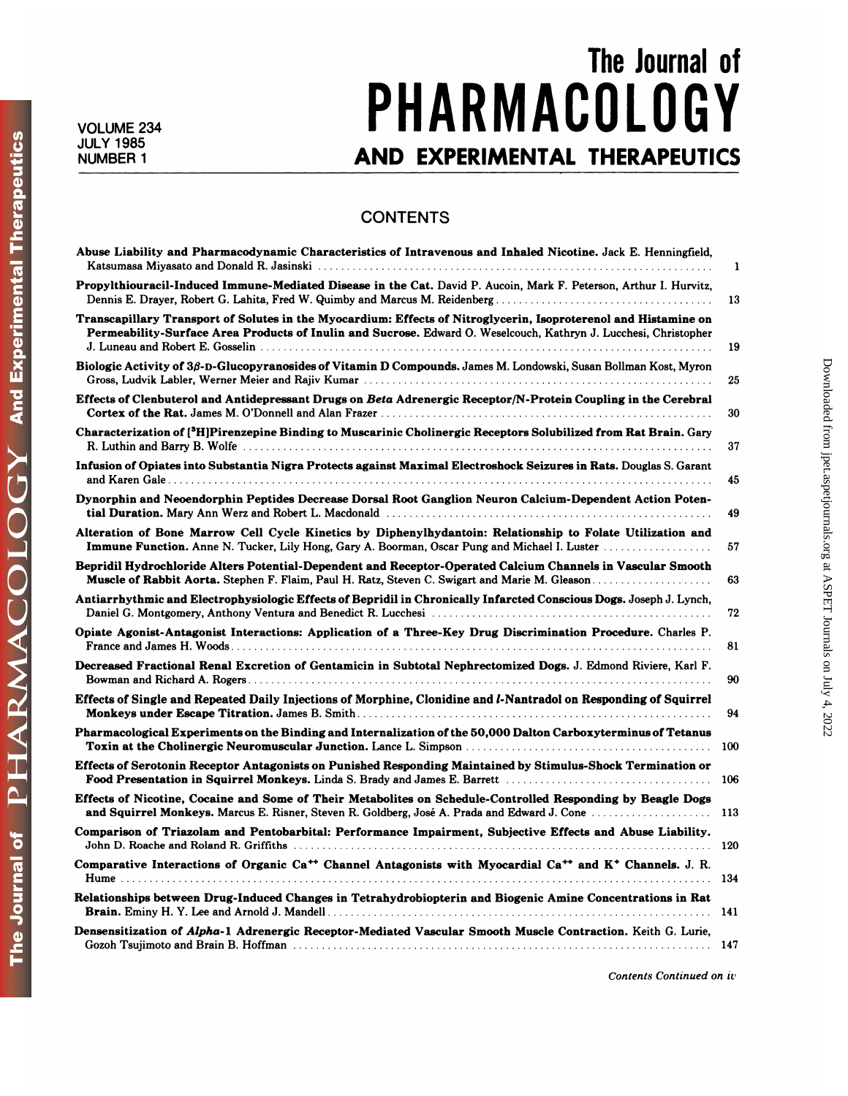**NUMBER 1** 

## **The Journal of** VOLUME 234 **PHAKMACULUGY** The Journal of<br>**PHARMACOLOGY**<br>AND EXPERIMENTAL THERAPEUTICS

## **CONTENTS**

| <b>CONTENTS</b>                                                                                                                                                                                                                     |     |
|-------------------------------------------------------------------------------------------------------------------------------------------------------------------------------------------------------------------------------------|-----|
| Abuse Liability and Pharmacodynamic Characteristics of Intravenous and Inhaled Nicotine. Jack E. Henningfield,                                                                                                                      | 1   |
| Propylthiouracil-Induced Immune-Mediated Disease in the Cat. David P. Aucoin, Mark F. Peterson, Arthur I. Hurvitz,<br>Dennis E. Drayer, Robert G. Lahita, Fred W. Quimby and Marcus M. Reidenberg                                   | 13  |
| Transcapillary Transport of Solutes in the Myocardium: Effects of Nitroglycerin, Isoproterenol and Histamine on<br>Permeability-Surface Area Products of Inulin and Sucrose. Edward O. Weselcouch, Kathryn J. Lucchesi, Christopher | 19  |
| Biologic Activity of 3β-D-Glucopyranosides of Vitamin D Compounds. James M. Londowski, Susan Bollman Kost, Myron                                                                                                                    | 25  |
| Effects of Clenbuterol and Antidepressant Drugs on Beta Adrenergic Receptor/N-Protein Coupling in the Cerebral                                                                                                                      | 30  |
| Characterization of [ <sup>3</sup> H]Pirenzepine Binding to Muscarinic Cholinergic Receptors Solubilized from Rat Brain. Gary                                                                                                       | 37  |
| Infusion of Opiates into Substantia Nigra Protects against Maximal Electroshock Seizures in Rats. Douglas S. Garant                                                                                                                 | 45  |
| Dynorphin and Neoendorphin Peptides Decrease Dorsal Root Ganglion Neuron Calcium-Dependent Action Poten-                                                                                                                            | 49  |
| Alteration of Bone Marrow Cell Cycle Kinetics by Diphenylhydantoin: Relationship to Folate Utilization and<br>Immune Function. Anne N. Tucker, Lily Hong, Gary A. Boorman, Oscar Pung and Michael I. Luster                         | 57  |
| Bepridil Hydrochloride Alters Potential-Dependent and Receptor-Operated Calcium Channels in Vascular Smooth<br>Muscle of Rabbit Aorta. Stephen F. Flaim, Paul H. Ratz, Steven C. Swigart and Marie M. Gleason                       | 63  |
| Antiarrhythmic and Electrophysiologic Effects of Bepridil in Chronically Infarcted Conscious Dogs. Joseph J. Lynch,                                                                                                                 | 72  |
| Opiate Agonist-Antagonist Interactions: Application of a Three-Key Drug Discrimination Procedure. Charles P.                                                                                                                        | 81  |
| Decreased Fractional Renal Excretion of Gentamicin in Subtotal Nephrectomized Dogs. J. Edmond Riviere, Karl F.                                                                                                                      | 90  |
| Effects of Single and Repeated Daily Injections of Morphine, Clonidine and <i>l</i> -Nantradol on Responding of Squirrel                                                                                                            | 94  |
| Pharmacological Experiments on the Binding and Internalization of the 50,000 Dalton Carboxyterminus of Tetanus                                                                                                                      | 100 |
| Effects of Serotonin Receptor Antagonists on Punished Responding Maintained by Stimulus-Shock Termination or                                                                                                                        | 106 |
| Effects of Nicotine, Cocaine and Some of Their Metabolites on Schedule-Controlled Responding by Beagle Dogs<br>and Squirrel Monkeys. Marcus E. Risner, Steven R. Goldberg, José A. Prada and Edward J. Cone                         | 113 |
| Comparison of Triazolam and Pentobarbital: Performance Impairment, Subjective Effects and Abuse Liability.                                                                                                                          |     |
| Comparative Interactions of Organic Ca <sup>++</sup> Channel Antagonists with Myocardial Ca <sup>++</sup> and K <sup>+</sup> Channels. J. R.                                                                                        |     |
| Relationships between Drug-Induced Changes in Tetrahydrobiopterin and Biogenic Amine Concentrations in Rat                                                                                                                          |     |
| Densensitization of Alpha-1 Adrenergic Receptor-Mediated Vascular Smooth Muscle Contraction. Keith G. Lurie,                                                                                                                        |     |
| Contents Continued on iv                                                                                                                                                                                                            |     |